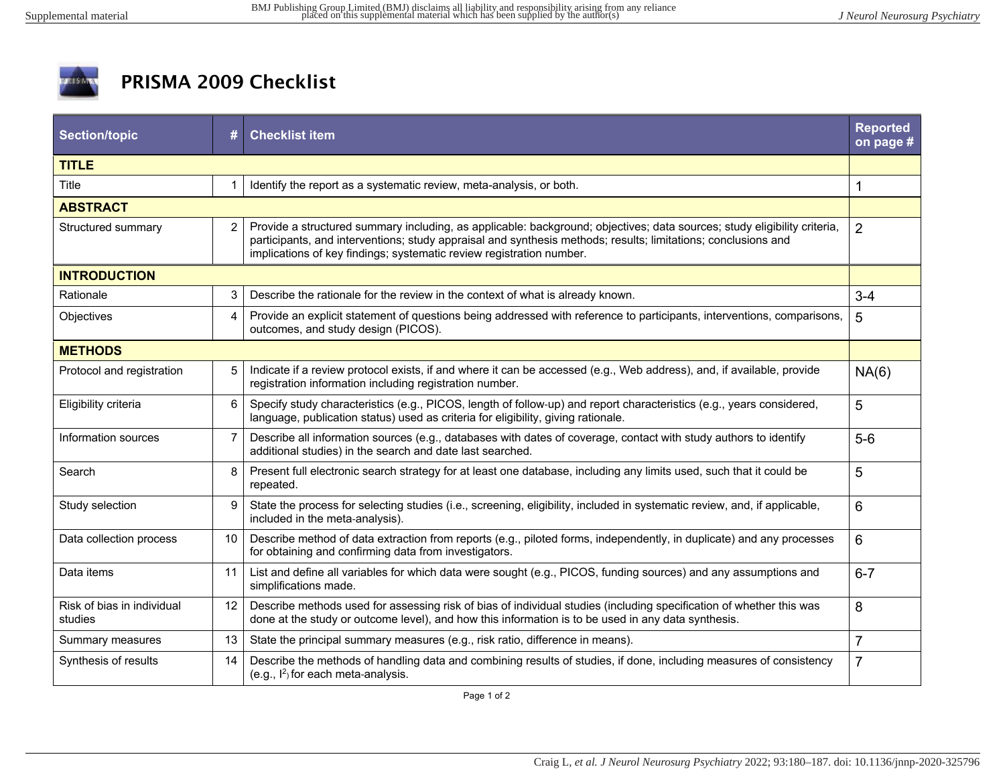

## PRISMA 2009 Checklist

| <b>Section/topic</b>                  | #              | <b>Checklist item</b>                                                                                                                                                                                                                                                                                             | <b>Reported</b><br>on page # |  |
|---------------------------------------|----------------|-------------------------------------------------------------------------------------------------------------------------------------------------------------------------------------------------------------------------------------------------------------------------------------------------------------------|------------------------------|--|
| <b>TITLE</b>                          |                |                                                                                                                                                                                                                                                                                                                   |                              |  |
| Title                                 |                | Identify the report as a systematic review, meta-analysis, or both.                                                                                                                                                                                                                                               | 1                            |  |
| <b>ABSTRACT</b>                       |                |                                                                                                                                                                                                                                                                                                                   |                              |  |
| Structured summary                    | $\overline{2}$ | Provide a structured summary including, as applicable: background; objectives; data sources; study eligibility criteria,<br>participants, and interventions; study appraisal and synthesis methods; results; limitations; conclusions and<br>implications of key findings; systematic review registration number. | $\overline{2}$               |  |
| <b>INTRODUCTION</b>                   |                |                                                                                                                                                                                                                                                                                                                   |                              |  |
| Rationale                             | 3              | Describe the rationale for the review in the context of what is already known.                                                                                                                                                                                                                                    | $3 - 4$                      |  |
| Objectives                            | 4              | Provide an explicit statement of questions being addressed with reference to participants, interventions, comparisons,<br>outcomes, and study design (PICOS).                                                                                                                                                     | 5                            |  |
| <b>METHODS</b>                        |                |                                                                                                                                                                                                                                                                                                                   |                              |  |
| Protocol and registration             | 5              | Indicate if a review protocol exists, if and where it can be accessed (e.g., Web address), and, if available, provide<br>registration information including registration number.                                                                                                                                  | NA(6)                        |  |
| Eligibility criteria                  | 6              | Specify study characteristics (e.g., PICOS, length of follow-up) and report characteristics (e.g., years considered,<br>language, publication status) used as criteria for eligibility, giving rationale.                                                                                                         | 5                            |  |
| Information sources                   | $\overline{7}$ | Describe all information sources (e.g., databases with dates of coverage, contact with study authors to identify<br>additional studies) in the search and date last searched.                                                                                                                                     | $5-6$                        |  |
| Search                                | 8              | Present full electronic search strategy for at least one database, including any limits used, such that it could be<br>repeated.                                                                                                                                                                                  | 5                            |  |
| Study selection                       | 9              | State the process for selecting studies (i.e., screening, eligibility, included in systematic review, and, if applicable,<br>included in the meta-analysis).                                                                                                                                                      | 6                            |  |
| Data collection process               | 10             | Describe method of data extraction from reports (e.g., piloted forms, independently, in duplicate) and any processes<br>for obtaining and confirming data from investigators.                                                                                                                                     | 6                            |  |
| Data items                            | 11             | List and define all variables for which data were sought (e.g., PICOS, funding sources) and any assumptions and<br>simplifications made.                                                                                                                                                                          | $6 - 7$                      |  |
| Risk of bias in individual<br>studies | 12             | Describe methods used for assessing risk of bias of individual studies (including specification of whether this was<br>done at the study or outcome level), and how this information is to be used in any data synthesis.                                                                                         | 8                            |  |
| Summary measures                      | 13             | State the principal summary measures (e.g., risk ratio, difference in means).                                                                                                                                                                                                                                     | $\overline{7}$               |  |
| Synthesis of results                  | 14             | Describe the methods of handling data and combining results of studies, if done, including measures of consistency<br>(e.g., $I^2$ ) for each meta-analysis.                                                                                                                                                      | $\overline{7}$               |  |

Page 1 of 2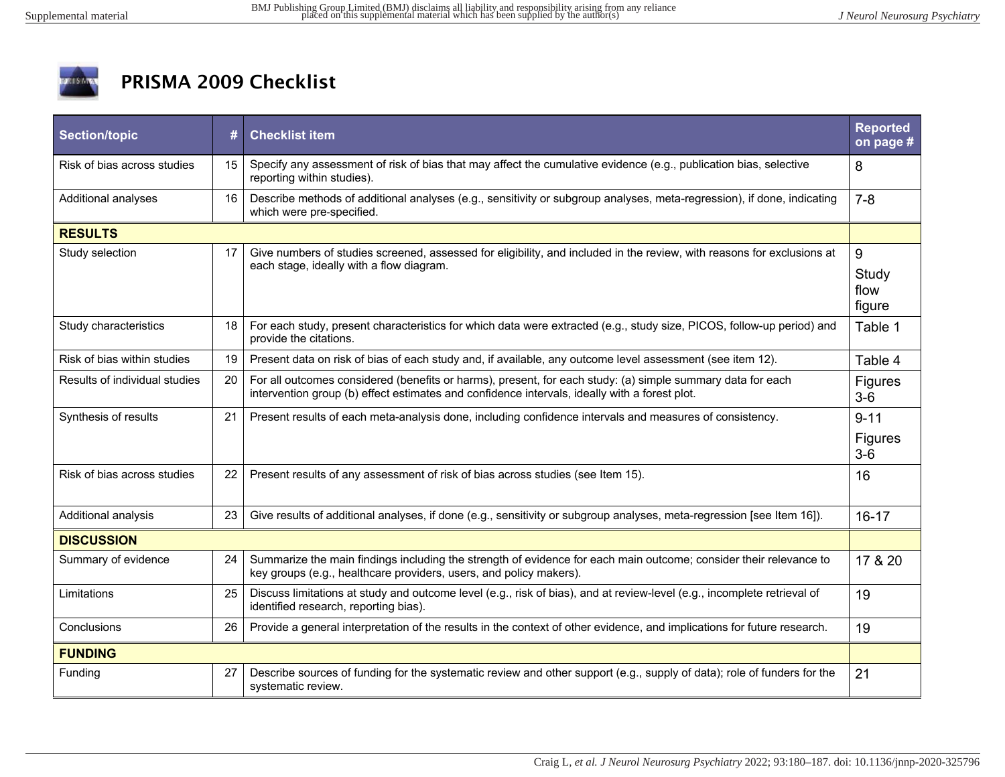

## PRISMA 2009 Checklist

| <b>Section/topic</b>          | #  | <b>Checklist item</b>                                                                                                                                                                                       | <b>Reported</b><br>on page # |  |
|-------------------------------|----|-------------------------------------------------------------------------------------------------------------------------------------------------------------------------------------------------------------|------------------------------|--|
| Risk of bias across studies   | 15 | Specify any assessment of risk of bias that may affect the cumulative evidence (e.g., publication bias, selective<br>reporting within studies).                                                             | 8                            |  |
| Additional analyses           | 16 | Describe methods of additional analyses (e.g., sensitivity or subgroup analyses, meta-regression), if done, indicating<br>which were pre-specified.                                                         | $7 - 8$                      |  |
| <b>RESULTS</b>                |    |                                                                                                                                                                                                             |                              |  |
| Study selection               | 17 | Give numbers of studies screened, assessed for eligibility, and included in the review, with reasons for exclusions at<br>each stage, ideally with a flow diagram.                                          | 9<br>Study<br>flow<br>figure |  |
| Study characteristics         | 18 | For each study, present characteristics for which data were extracted (e.g., study size, PICOS, follow-up period) and<br>provide the citations.                                                             | Table 1                      |  |
| Risk of bias within studies   | 19 | Present data on risk of bias of each study and, if available, any outcome level assessment (see item 12).                                                                                                   | Table 4                      |  |
| Results of individual studies | 20 | For all outcomes considered (benefits or harms), present, for each study: (a) simple summary data for each<br>intervention group (b) effect estimates and confidence intervals, ideally with a forest plot. | <b>Figures</b><br>$3-6$      |  |
| Synthesis of results          | 21 | Present results of each meta-analysis done, including confidence intervals and measures of consistency.                                                                                                     | $9 - 11$<br>Figures<br>$3-6$ |  |
| Risk of bias across studies   | 22 | Present results of any assessment of risk of bias across studies (see Item 15).                                                                                                                             | 16                           |  |
| Additional analysis           | 23 | Give results of additional analyses, if done (e.g., sensitivity or subgroup analyses, meta-regression [see Item 16]).                                                                                       | $16 - 17$                    |  |
| <b>DISCUSSION</b>             |    |                                                                                                                                                                                                             |                              |  |
| Summary of evidence           | 24 | Summarize the main findings including the strength of evidence for each main outcome; consider their relevance to<br>key groups (e.g., healthcare providers, users, and policy makers).                     | 17 & 20                      |  |
| Limitations                   | 25 | Discuss limitations at study and outcome level (e.g., risk of bias), and at review-level (e.g., incomplete retrieval of<br>identified research, reporting bias).                                            | 19                           |  |
| Conclusions                   | 26 | Provide a general interpretation of the results in the context of other evidence, and implications for future research.                                                                                     | 19                           |  |
| <b>FUNDING</b>                |    |                                                                                                                                                                                                             |                              |  |
| Funding                       | 27 | Describe sources of funding for the systematic review and other support (e.g., supply of data); role of funders for the<br>systematic review.                                                               | 21                           |  |